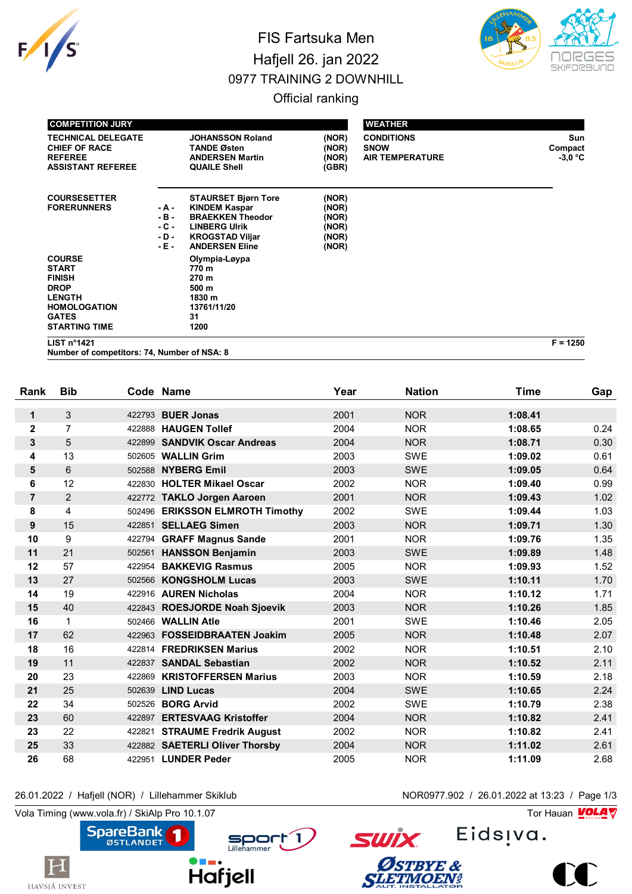

## FIS Fartsuka Men Hafjell 26. jan 2022 0977 TRAINING 2 DOWNHILL



Official ranking

| <b>COMPETITION JURY</b>                                                                                                                       |                                            |                                                                                                                                                          |                                                    | <b>WEATHER</b>                                             |                             |
|-----------------------------------------------------------------------------------------------------------------------------------------------|--------------------------------------------|----------------------------------------------------------------------------------------------------------------------------------------------------------|----------------------------------------------------|------------------------------------------------------------|-----------------------------|
| <b>TECHNICAL DELEGATE</b><br><b>CHIEF OF RACE</b><br><b>REFEREE</b><br><b>ASSISTANT REFEREE</b>                                               |                                            | <b>JOHANSSON Roland</b><br><b>TANDE Østen</b><br><b>ANDERSEN Martin</b><br><b>QUAILE Shell</b>                                                           | (NOR)<br>(NOR)<br>(NOR)<br>(GBR)                   | <b>CONDITIONS</b><br><b>SNOW</b><br><b>AIR TEMPERATURE</b> | Sun<br>Compact<br>$-3.0 °C$ |
| <b>COURSESETTER</b><br><b>FORERUNNERS</b>                                                                                                     | - A -<br>- B -<br>$-C -$<br>- D -<br>- E - | <b>STAURSET Bjørn Tore</b><br><b>KINDEM Kaspar</b><br><b>BRAEKKEN Theodor</b><br><b>LINBERG UIrik</b><br><b>KROGSTAD Viljar</b><br><b>ANDERSEN Eline</b> | (NOR)<br>(NOR)<br>(NOR)<br>(NOR)<br>(NOR)<br>(NOR) |                                                            |                             |
| <b>COURSE</b><br><b>START</b><br><b>FINISH</b><br><b>DROP</b><br><b>LENGTH</b><br><b>HOMOLOGATION</b><br><b>GATES</b><br><b>STARTING TIME</b> |                                            | Olympia-Løypa<br>770 m<br>270 m<br>500 m<br>1830 m<br>13761/11/20<br>31<br>1200                                                                          |                                                    |                                                            |                             |
| LIST n <sup>°</sup> 1421                                                                                                                      |                                            |                                                                                                                                                          |                                                    |                                                            | $F = 1250$                  |

**Number of competitors: 74, Number of NSA: 8**

| Rank           | <b>Bib</b>     |        | Code Name                       | Year | <b>Nation</b> | <b>Time</b> | Gap  |
|----------------|----------------|--------|---------------------------------|------|---------------|-------------|------|
| $\mathbf{1}$   | 3              | 422793 | <b>BUER Jonas</b>               | 2001 | <b>NOR</b>    | 1:08.41     |      |
| $\mathbf{2}$   | $\overline{7}$ | 422888 | <b>HAUGEN Tollef</b>            | 2004 | <b>NOR</b>    | 1:08.65     | 0.24 |
| 3              | 5              | 422899 | <b>SANDVIK Oscar Andreas</b>    | 2004 | <b>NOR</b>    | 1:08.71     | 0.30 |
| 4              | 13             | 502605 | <b>WALLIN Grim</b>              | 2003 | <b>SWE</b>    | 1:09.02     | 0.61 |
| 5              | 6              | 502588 | <b>NYBERG Emil</b>              | 2003 | <b>SWE</b>    | 1:09.05     | 0.64 |
| 6              | 12             | 422830 | <b>HOLTER Mikael Oscar</b>      | 2002 | <b>NOR</b>    | 1:09.40     | 0.99 |
| $\overline{7}$ | $\overline{c}$ | 422772 | <b>TAKLO Jorgen Aaroen</b>      | 2001 | <b>NOR</b>    | 1:09.43     | 1.02 |
| 8              | 4              |        | 502496 ERIKSSON ELMROTH Timothy | 2002 | <b>SWE</b>    | 1:09.44     | 1.03 |
| 9              | 15             |        | 422851 SELLAEG Simen            | 2003 | <b>NOR</b>    | 1:09.71     | 1.30 |
| 10             | 9              | 422794 | <b>GRAFF Magnus Sande</b>       | 2001 | <b>NOR</b>    | 1:09.76     | 1.35 |
| 11             | 21             | 502561 | <b>HANSSON Benjamin</b>         | 2003 | <b>SWE</b>    | 1:09.89     | 1.48 |
| 12             | 57             | 422954 | <b>BAKKEVIG Rasmus</b>          | 2005 | <b>NOR</b>    | 1:09.93     | 1.52 |
| 13             | 27             | 502566 | <b>KONGSHOLM Lucas</b>          | 2003 | <b>SWE</b>    | 1:10.11     | 1.70 |
| 14             | 19             |        | 422916 AUREN Nicholas           | 2004 | <b>NOR</b>    | 1:10.12     | 1.71 |
| 15             | 40             |        | 422843 ROESJORDE Noah Sjoevik   | 2003 | <b>NOR</b>    | 1:10.26     | 1.85 |
| 16             | $\mathbf{1}$   | 502466 | <b>WALLIN Atle</b>              | 2001 | <b>SWE</b>    | 1:10.46     | 2.05 |
| 17             | 62             | 422963 | <b>FOSSEIDBRAATEN Joakim</b>    | 2005 | <b>NOR</b>    | 1:10.48     | 2.07 |
| 18             | 16             |        | 422814 FREDRIKSEN Marius        | 2002 | <b>NOR</b>    | 1:10.51     | 2.10 |
| 19             | 11             |        | 422837 SANDAL Sebastian         | 2002 | <b>NOR</b>    | 1:10.52     | 2.11 |
| 20             | 23             | 422869 | <b>KRISTOFFERSEN Marius</b>     | 2003 | <b>NOR</b>    | 1:10.59     | 2.18 |
| 21             | 25             | 502639 | <b>LIND Lucas</b>               | 2004 | <b>SWE</b>    | 1:10.65     | 2.24 |
| 22             | 34             | 502526 | <b>BORG Arvid</b>               | 2002 | <b>SWE</b>    | 1:10.79     | 2.38 |
| 23             | 60             | 422897 | <b>ERTESVAAG Kristoffer</b>     | 2004 | <b>NOR</b>    | 1:10.82     | 2.41 |
| 23             | 22             | 422821 | <b>STRAUME Fredrik August</b>   | 2002 | <b>NOR</b>    | 1:10.82     | 2.41 |
| 25             | 33             |        | 422882 SAETERLI Oliver Thorsby  | 2004 | <b>NOR</b>    | 1:11.02     | 2.61 |
| 26             | 68             |        | 422951 LUNDER Peder             | 2005 | <b>NOR</b>    | 1:11.09     | 2.68 |

Sport 1

26.01.2022 / Hafjell (NOR) / Lillehammer Skiklub NOR0977.902 / 26.01.2022 at 13:23 / Page 1/3

Vola Timing (www.vola.fr) / SkiAlp Pro 10.1.07  $\sqrt{2}$ 

 $\vert H$ 



Eids<sub>!va.</sub>



**SWİX** 

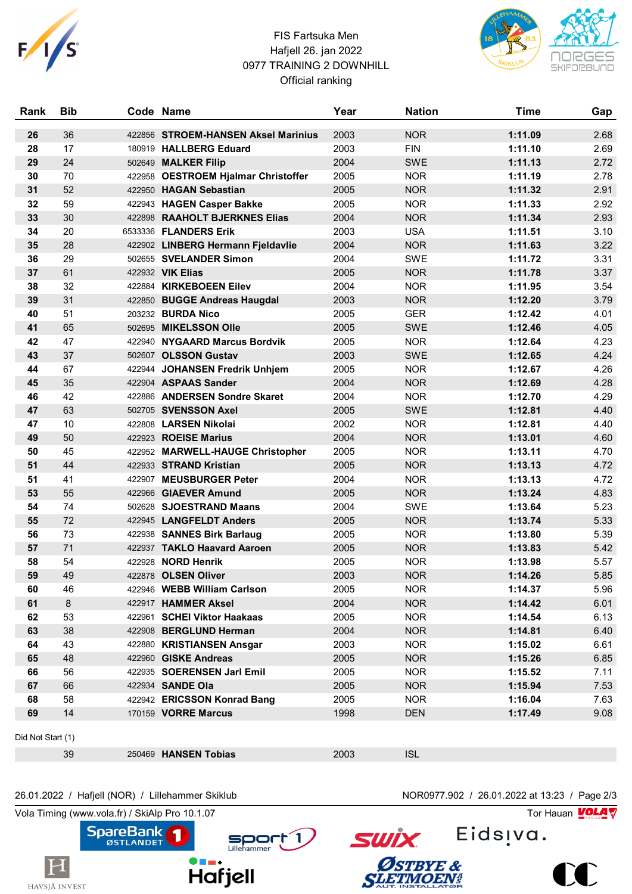

## FIS Fartsuka Men Hafjell 26. jan 2022 0977 TRAINING 2 DOWNHILL Official ranking



| Rank              | <b>Bib</b> |        | Code Name                           | Year | <b>Nation</b> | <b>Time</b> | Gap  |
|-------------------|------------|--------|-------------------------------------|------|---------------|-------------|------|
| 26                | 36         |        | 422856 STROEM-HANSEN Aksel Marinius | 2003 | <b>NOR</b>    | 1:11.09     | 2.68 |
| 28                | 17         |        | 180919 HALLBERG Eduard              | 2003 | <b>FIN</b>    | 1:11.10     | 2.69 |
| 29                | 24         |        | 502649 MALKER Filip                 | 2004 | <b>SWE</b>    | 1:11.13     | 2.72 |
| 30                | 70         | 422958 | <b>OESTROEM Hjalmar Christoffer</b> | 2005 | <b>NOR</b>    | 1:11.19     | 2.78 |
| 31                | 52         |        | 422950 HAGAN Sebastian              | 2005 | <b>NOR</b>    | 1:11.32     | 2.91 |
| 32                | 59         |        | 422943 HAGEN Casper Bakke           | 2005 | <b>NOR</b>    | 1:11.33     | 2.92 |
| 33                | 30         |        | 422898 RAAHOLT BJERKNES Elias       | 2004 | <b>NOR</b>    | 1:11.34     | 2.93 |
| 34                | 20         |        | 6533336 FLANDERS Erik               | 2003 | <b>USA</b>    | 1:11.51     | 3.10 |
| 35                | 28         |        | 422902 LINBERG Hermann Fjeldavlie   | 2004 | <b>NOR</b>    | 1:11.63     | 3.22 |
| 36                | 29         |        | 502655 SVELANDER Simon              | 2004 | <b>SWE</b>    | 1:11.72     | 3.31 |
| 37                | 61         |        | 422932 VIK Elias                    | 2005 | <b>NOR</b>    | 1:11.78     | 3.37 |
| 38                | 32         |        | 422884 KIRKEBOEEN Eilev             | 2004 | <b>NOR</b>    | 1:11.95     | 3.54 |
| 39                | 31         |        | 422850 BUGGE Andreas Haugdal        | 2003 | <b>NOR</b>    | 1:12.20     | 3.79 |
| 40                | 51         |        | 203232 BURDA Nico                   | 2005 | <b>GER</b>    | 1:12.42     | 4.01 |
| 41                | 65         |        | 502695 MIKELSSON Olle               | 2005 | <b>SWE</b>    | 1:12.46     | 4.05 |
| 42                | 47         |        | 422940 NYGAARD Marcus Bordvik       | 2005 | <b>NOR</b>    | 1:12.64     | 4.23 |
| 43                | 37         |        | 502607 OLSSON Gustav                | 2003 | <b>SWE</b>    | 1:12.65     | 4.24 |
| 44                | 67         |        | 422944 JOHANSEN Fredrik Unhjem      | 2005 | <b>NOR</b>    | 1:12.67     | 4.26 |
| 45                | 35         |        | 422904 ASPAAS Sander                | 2004 | <b>NOR</b>    | 1:12.69     | 4.28 |
| 46                | 42         |        | 422886 ANDERSEN Sondre Skaret       | 2004 | <b>NOR</b>    | 1:12.70     | 4.29 |
| 47                | 63         |        | 502705 SVENSSON Axel                | 2005 | <b>SWE</b>    | 1:12.81     | 4.40 |
| 47                | 10         |        | 422808 LARSEN Nikolai               | 2002 | <b>NOR</b>    | 1:12.81     | 4.40 |
| 49                | 50         |        | 422923 ROEISE Marius                | 2004 | <b>NOR</b>    | 1:13.01     | 4.60 |
| 50                | 45         |        | 422952 MARWELL-HAUGE Christopher    | 2005 | <b>NOR</b>    | 1:13.11     | 4.70 |
| 51                | 44         |        | 422933 STRAND Kristian              | 2005 | <b>NOR</b>    | 1:13.13     | 4.72 |
| 51                | 41         |        | 422907 MEUSBURGER Peter             | 2004 | <b>NOR</b>    | 1:13.13     | 4.72 |
| 53                | 55         | 422966 | <b>GIAEVER Amund</b>                | 2005 | <b>NOR</b>    | 1:13.24     | 4.83 |
| 54                | 74         |        | 502628 SJOESTRAND Maans             | 2004 | <b>SWE</b>    | 1:13.64     | 5.23 |
| 55                | 72         |        | 422945 LANGFELDT Anders             | 2005 | <b>NOR</b>    | 1:13.74     | 5.33 |
| 56                | 73         |        | 422938 SANNES Birk Barlaug          | 2005 | <b>NOR</b>    | 1:13.80     | 5.39 |
| 57                | 71         |        | 422937 TAKLO Haavard Aaroen         | 2005 | <b>NOR</b>    | 1:13.83     | 5.42 |
| 58                | 54         |        | 422928 NORD Henrik                  | 2005 | <b>NOR</b>    | 1:13.98     | 5.57 |
| 59                | 49         |        | 422878 OLSEN Oliver                 | 2003 | <b>NOR</b>    | 1:14.26     | 5.85 |
| 60                | 46         |        | 422946 WEBB William Carlson         | 2005 | <b>NOR</b>    | 1:14.37     | 5.96 |
| 61                | 8          |        | 422917 HAMMER Aksel                 | 2004 | <b>NOR</b>    | 1:14.42     | 6.01 |
| 62                | 53         |        | 422961 SCHEI Viktor Haakaas         | 2005 | <b>NOR</b>    | 1:14.54     | 6.13 |
| 63                | 38         |        | 422908 BERGLUND Herman              | 2004 | <b>NOR</b>    | 1:14.81     | 6.40 |
| 64                | 43         |        | 422880 KRISTIANSEN Ansgar           | 2003 | <b>NOR</b>    | 1:15.02     | 6.61 |
| 65                | 48         |        | 422960 GISKE Andreas                | 2005 | <b>NOR</b>    | 1:15.26     | 6.85 |
| 66                | 56         |        | 422935 SOERENSEN Jarl Emil          | 2005 | <b>NOR</b>    | 1:15.52     | 7.11 |
| 67                | 66         |        | 422934 SANDE Ola                    | 2005 | <b>NOR</b>    | 1:15.94     | 7.53 |
| 68                | 58         |        | 422942 ERICSSON Konrad Bang         | 2005 | <b>NOR</b>    | 1:16.04     | 7.63 |
| 69                | 14         |        | 170159 VORRE Marcus                 | 1998 | <b>DEN</b>    | 1:17.49     | 9.08 |
| Did Not Start (1) |            |        |                                     |      |               |             |      |
|                   | 39         |        | 250469 HANSEN Tobias                | 2003 | <b>ISL</b>    |             |      |

## 26.01.2022 / Hafjell (NOR) / Lillehammer Skiklub NOR0977.902 / 26.01.2022 at 13:23 / Page 2/3

 $\blacksquare$ 

Hafjell

Vola Timing (www.vola.fr) / SkiAlp Pro 10.1.07  $\sqrt{2}$ 



Sport 1



ØSTBYE &



 $\bf{C}$